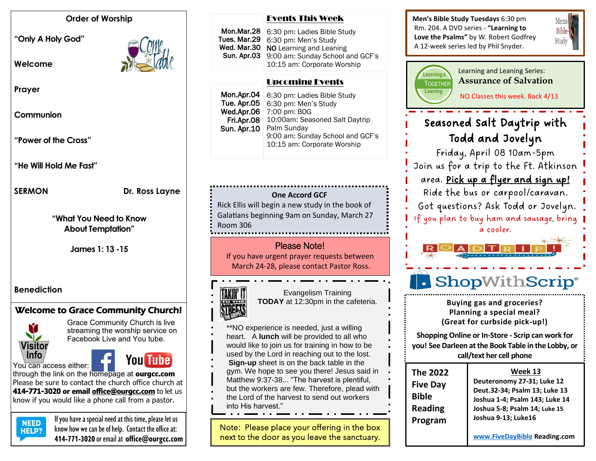#### **Order of Worship**

**"Only A Holy God"** 

**Welcome** 



**Prayer**

**Communion**

**"Power of the Cross"**

**"He Will Hold Me Fast"**

SERMON Dr. Ross Layne

**"What You Need to Know About Temptation"**

**James 1: 13 -15**

## **Benediction**

# Welcome to Grace Community Church!



Grace Community Church is live streaming the worship service on Facebook Live and You tube.

You can access either:



through the link on the homepage at **ourgcc.com**  Please be sure to contact the church office church at **414-771-3020 or email [office@ourgcc.com](mailto:office@ourgcc.com)** to let us know if you would like a phone call from a pastor.



**NEED** If you have a special need at this time, please let us  $H = P2$  know how we can be of help. Contact the office at: **414-771-3020** or email at **[office@ourgcc.com](mailto:office@ourgcc.com)**

#### Events This Week

Mon.Mar.28 6:30 pm: Ladies Bible Study 6:30 pm: Men's Study NO Learning and Leaning 9:00 am: Sunday School and GCF's 10:15 am: Corporate Worship Tues. Mar.29 Wed. Mar.30 Sun. Apr.03

#### Í Upcoming Events

| Mon.Apr.04         | 6:30 pm: Ladies Bible Study      |
|--------------------|----------------------------------|
| Tue. Apr.05        | 6:30 pm: Men's Study             |
| Wed.Apr.06         | 7:00 pm: BOG                     |
| Fri.Apr.08         | 10:00am: Seasoned Salt Daytrip   |
| <b>Sun. Apr.10</b> | Palm Sunday                      |
|                    | 9:00 am: Sunday School and GCF's |
|                    | 10:15 am: Corporate Worship      |
|                    |                                  |

## **One Accord GCF**

Rick Ellis will begin a new study in the book of Galatians beginning 9am on Sunday, March 27 Room 306

# Please Note!

If you have urgent prayer requests between March 24-28, please contact Pastor Ross.



Evangelism Training **TODAY** at 12:30pm in the cafeteria.

- \*\*NO experience is needed, just a willing heart. A **lunch** will be provided to all who would like to join us for training in how to be used by the Lord in reaching out to the lost.
- 
- **Sign-up** sheet is on the back table in the
- gym. We hope to see you there! Jesus said in Matthew 9:37-38... "The harvest is plentiful,
- but the workers are few. Therefore, plead with
- the Lord of the harvest to send out workers into His harvest."

Note: Please place your offering in the box next to the door as you leave the sanctuary. **Men's Bible Study Tuesdays** 6:30 pm Rm. 204. A DVD series - **"Learning to Love the Psalms"** by W. Robert Godfrey A 12-week series led by Phil Snyder.





Learning and Leaning Series: **Assurance of Salvation**

 $\frac{1}{2}$ **NO Classes this week. Back 4/13** 

# We will answer critical questions about the biblical seasoned Salt Daytrip with Todd and Jovelyn

**Grace4Kids** – kids 4-12 years meet in Room 204 Friday, April 08 10am-5pm **Unashamed** - teens 12/13-17 years – Youth Rm. Join us for a trip to the Ft. Atkinson area. Pick up a flyer and sign up! Ride the bus or carpool/caravan. Got questions? Ask Todd or Jovelyn. If you plan to buy ham and sausage, bring a cooler.



 $\blacktriangle$ 

**Buying gas and groceries? Planning a special meal? (Great for curbside pick-up!)**

**Shopping Online or In-Store - Scrip can work for you! See Darleen at the Book Table in the Lobby, or call/text her cell phone**

| The 2022<br><b>Five Day</b><br><b>Bible</b><br><b>Reading</b><br>Program | Week 13<br>Deuteronomy 27-31; Luke 12<br>Deut.32-34; Psalm 13; Luke 13<br>Joshua 1-4; Psalm 143; Luke 14<br>Joshua 5-8; Psalm 14; Luke 15<br>Joshua 9-13; Luke16 |
|--------------------------------------------------------------------------|------------------------------------------------------------------------------------------------------------------------------------------------------------------|
|                                                                          | www.FiveDayBible Reading.com                                                                                                                                     |

**See Darleen at the Book Table in the Lobby, or**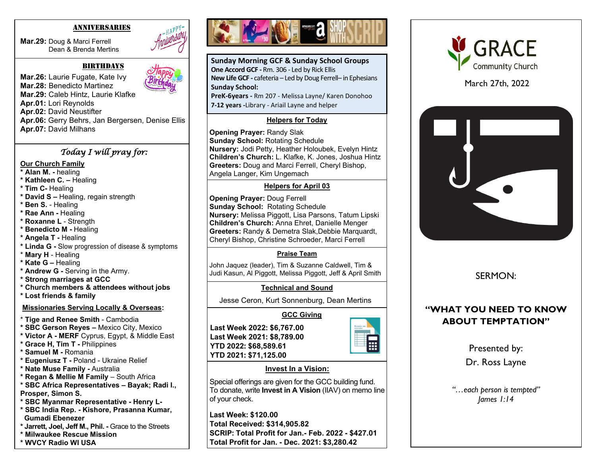#### ANNIVERSARIES

**Mar.29:** Doug & Marci Ferrell Dean & Brenda Mertins



#### **BIRTHDAYS**

**Mar.26:** Laurie Fugate, Kate Ivy **Mar.28:** Benedicto Martinez **Mar.29:** Caleb Hintz, Laurie Klafke **Apr.01:** Lori Reynolds **Apr.02:** David Neustifter **Apr.06:** Gerry Behrs, Jan Bergersen, Denise Ellis **Apr.07:** David Milhans

#### *Today I will pray for:*

#### **Our Church Family**

- **\* Alan M. -** healing
- **\* Kathleen C. –** Healing
- **\* Tim C-** Healing
- **\* David S –** Healing, regain strength
- **\* Ben S.** Healing
- **\* Rae Ann -** Healing
- **\* Roxanne L**  Strength
- **\* Benedicto M -** Healing
- **\* Angela T -** Healing
- **\* Linda G -** Slow progression of disease & symptoms
- \* **Mary H**  Healing
- **\* Kate G –** Healing
- **\* Andrew G -** Serving in the Army.
- **\* Strong marriages at GCC**
- **\* Church members & attendees without jobs**
- **\* Lost friends & family**

#### **Missionaries Serving Locally & Overseas:**

- \* **Tige and Renee Smith** Cambodia
- **\* SBC Gerson Reyes –** Mexico City, Mexico
- **\* Victor A - MERF** Cyprus, Egypt, & Middle East
- **\* Grace H, Tim T -** Philippines
- **\* Samuel M -** Romania
- **\* Eugeniusz T -** Poland Ukraine Relief
- **\* Nate Muse Family -** Australia
- **\* Regan & Mellie M Family**  South Africa
- **\* SBC Africa Representatives – Bayak; Radi I.,**
- **Prosper, Simon S.**
- **\* SBC Myanmar Representative - Henry L-**
- **\* SBC India Rep. - Kishore, Prasanna Kumar, Gumadi Ebenezer**
- **\* Jarrett, Joel, Jeff M., Phil. -** Grace to the Streets
- **\* Milwaukee Rescue Mission**





**Sunday Morning GCF & Sunday School Groups One Accord GCF -** Rm. 306 - Led by Rick Ellis **New Life GCF -** cafeteria – Led by Doug Ferrell– in Ephesians **Sunday School:**

**PreK-6years -** Rm 207 - Melissa Layne/ Karen Donohoo **7-12 years -**Library - Ariail Layne and helper

#### **Helpers for Today**

**Opening Prayer:** Randy Slak **Sunday School:** Rotating Schedule **Nursery:** Jodi Petty, Heather Holoubek, Evelyn Hintz **Children's Church:** L. Klafke, K. Jones, Joshua Hintz **Greeters:** Doug and Marci Ferrell, Cheryl Bishop, Angela Langer, Kim Ungemach

#### **Helpers for April 03**

 **Greeters:** Randy & Demetra Slak,Debbie Marquardt, **Opening Prayer:** Doug Ferrell **Sunday School:** Rotating Schedule **Nursery:** Melissa Piggott, Lisa Parsons, Tatum Lipski **Children's Church:** Anna Ehret, Danielle Menger Cheryl Bishop, Christine Schroeder, Marci Ferrell

## **Praise Team**

John Jaquez (leader), Tim & Suzanne Caldwell, Tim & Judi Kasun, Al Piggott, Melissa Piggott, Jeff & April Smith

## **Technical and Sound**

Jesse Ceron, Kurt Sonnenburg, Dean Mertins

## **GCC Giving**

**Last Week 2022: \$6,767.00 Last Week 2021: \$8,789.00 YTD 2022: \$68,589.61 YTD 2021: \$71,125.00**



#### **Invest In a Vision:**

Special offerings are given for the GCC building fund. To donate, write **Invest in A Vision** (IIAV) on memo line of your check.

**Last Week: \$120.00 Total Received: \$314,905.82 SCRIP: Total Profit for Jan.- Feb. 2022 - \$427.01 Total Profit for Jan. - Dec. 2021: \$3,280.42**



March 27th, 2022



SERMON:

# **"WHAT YOU NEED TO KNOW ABOUT TEMPTATION"**

Presented by:

Dr. Ross Layne

*"…each person is tempted" James 1:14*